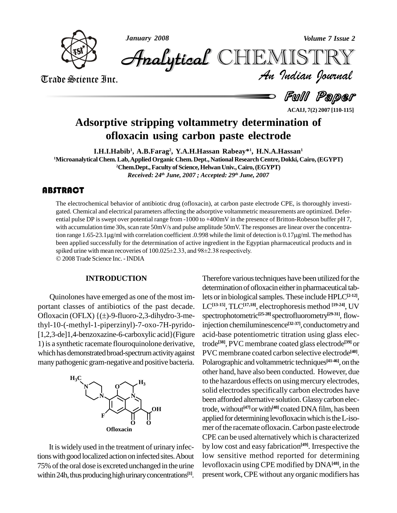



*Volume 7 Issue 2*<br>IISTRY<br>Indian Iournal **Analytical CHEMIST** 

Trade Science Inc. Trade Science Inc.

Full Paper

# **Adsorptive stripping voltammetry determination of ofloxacin using carbon paste electrode**

**I.H.I.Habib 1 , A.B.Farag 2 , Y.A.H.Hassan Rabeay\* 1 , H.N.A.Hassan 1**

**<sup>1</sup>Microanalytical Chem.Lab,AppliedOrganic Chem.Dept., National Research Centre, Dokki, Cairo,(EGYPT) <sup>2</sup>Chem.Dept.,Faculty of Science,HelwanUniv.,Cairo,(EGYPT)** *Received: 24 th June, 2007 ; Accepted: 29 th June, 2007*

# **ABSTRACT**

The electrochemical beh<br>gated. Chemical and elec<br>ential pulse DP is swept The electrochemical behavior of antibiotic drug (ofloxacin), at carbon paste electrode CPE, is thoroughly investi gated. Chemical and electrical parameters affecting the adsorptive voltammetric measurements are optimized. Defer ential pulse DP isswept over potential range from -1000 to +400mV in the presence of Britton-Robeson buffer pH 7, with accumulation time 30s, scan rate 50mV/s and pulse amplitude 50mV. The responses are linear over the concentraential pulse DP is swept over potential range from -1000 to +400mV in the presence of Britton-Robeson buffer pH 7,<br>with accumulation time 30s, scan rate 50mV/s and pulse amplitude 50mV. The responses are linear over the co been applied successfully for the determination of active ingredient in the Egyptian pharmaceutical products and in tion range 1.65-23.1µg/ml with correlation coefficient .0.998 while the limit of dete<br>been applied successfully for the determination of active ingredient in the Egypti<br>spiked urine with mean recoveries of 100.025±2.33, an 2008Trade Science Inc. -INDIA

#### **INTRODUCTION**

Quinolones have emerged as one of the most important classes of antibiotics of the past decade. Quinolones have emerged as one of the most im-<br>portant classes of antibiotics of the past decade.<br>Ofloxacin (OFLX)  $\{(\pm)$ -9-fluoro-2,3-dihydro-3-methyl-10-(-methyl-1-piperzinyl)-7-oxo-7H-pyrido- [1,2,3-de]1,4-benzoxazine-6-carboxylic acid}(Figure 1)is a synthetic racemate flouroquinolone derivative, which has demonstrated broad-spectrum activity against manypathogenic gram-negative and positive bacteria.



It is widely used in the treatment of urinary infections with good localized action on infected sites. About 75%ofthe oral dose is excreted unchanged in the urine within 24h, thus producing high urinary concentrations<sup>[1]</sup>. pro

Therefore various techniques have been utilized for the determination of ofloxacin either in pharmaceutical tablets or in biological samples. These include HPLC<sup>[2-12]</sup>, LC**[13-15]**, TLC**[17,18]**, electrophoresis method **[19-24]**, UV spectrophotometric **[25-28]**spectrofluorometry **[29-31]**, flowinjection chemiluminescence<sup>[32-37]</sup>, conductometry and acid-base potentiometric titration using glass electrode **[38]**, PVC membrane coated glass electrode **[39]** or PVC membrane coated carbon selective electrode **[40]**. Polarographic and voltammetric techniques<sup>[41-46]</sup>, on the other hand, have also been conducted. However, due to the hazardous effects on using mercury electrodes, solid electrodes specifically carbon electrodes have been afforded alternative solution. Glassy carbon electrode, without<sup>[47]</sup> or with<sup>[48]</sup> coated DNA film, has been applied for determining levofloxacin which is the L-isomer of the racemate of loxacin. Carbon paste electrode CPE can be used alternativelywhich ischaracterized by low cost and easy fabrication **[49]**. Irrespective the low sensitive method reported for determining levofloxacin using CPE modified by DNA**[48]**, in the present work, CPE without any organic modifiers has

**ACAIJ, 7(2) 2007 [110-115]**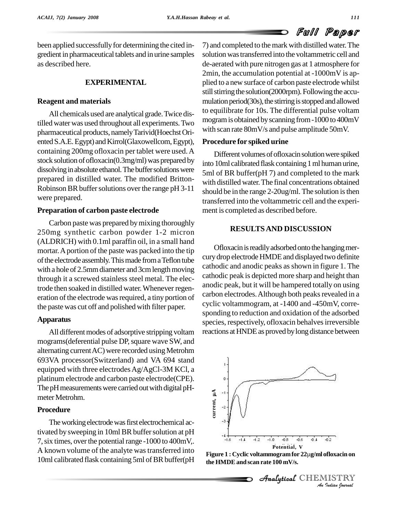been applied successfully for determining the cited in-<br>gredient in pharmaceutical tablets and in urine samples as described here.

# **EXPERIMENTAL**

#### **Reagent and materials**

All chemicals used are analytical grade.Twice distilled water was used throughout all experiments. Two pharmaceutical products,namelyTarivid(HoechstOri ented S.A.E. Egypt) and Kirrol(Glaxowellcom, Egypt), containing 200mg ofloxacin per tablet were used.A stock solution of ofloxacin( $0.3$ mg/ml) was prepared by dissolving in absolute ethanol. The buffer solutions were prepared in distilled water. The modified Britton- Robinson BR buffer solutions over the range pH 3-11 were prepared.

# **Preparation of carbon paste electrode**

Carbon paste was prepared bymixing thoroughly 250mg synthetic carbon powder 1-2 micron (ALDRICH) with 0.1ml paraffin oil, in a small hand mortar.Aportion of the paste was packed into the tip of the electrode assembly. This made from a Teflon tube with a hole of 2.5mm diameter and 3cm length moving through it a screwed stainless steel metal. The electrode then soaked in distilled water.Whenever regen eration of the electrode was required, a tiny portion of the paste was cut off and polished with filter paper.

#### **Apparatus**

All different modes of adsorptive stripping voltam mograms(deferential pulse DP, square wave SW, and alternating current AC) were recorded using Metrohm 693VA processor(Switzerland) and VA 694 stand equipped with three electrodes Ag/AgCl-3M KCl, a platinum electrode and carbon paste electrode(CPE). The pH measurements were carried out with digital pHmeter Metrohm.

# **Procedure**

The working electrode was first electrochemical activated by sweeping in 10ml BR buffer solution at pH 7, six times, over the potential range -1000 to 400mV,. A known volume of the analyte was transferred into 10ml calibrated flask containing 5ml of BR buffer(pH 7) and completed to themark with distilled water.The solution was transferred into the voltammetric cell and de-aerated with pure nitrogen gas at 1 atmosphere for 2min, the accumulation potential at -1000mV is ap plied to a new surface of carbon paste electrode whilst still stirring the solution(2000rpm). Following the accumulation period(30s), the stirring is stopped and allowed to equilibrate for 10s. The differential pulse voltam mogramisobtained byscanning from-1000 to 400mV with scan rate 80mV/s and pulse amplitude 50mV.

#### **Procedure for spiked urine**

Different volumes of ofloxacin solution were spiked into 10ml calibrated flask containing 1 ml human urine, 5ml of BR buffer(pH 7) and completed to the mark with distilled water.The final concentrations obtained should be in the range  $2-20u$ g/ml. The solution is then transferred into the voltammetric cell and the experi ment is completed as described before.

# **RESULTSAND DISCUSSION**

Ofloxacin is readily adsorbed onto the hanging mercurydrop electrode HMDEand displayed two definite cathodic and anodic peaks asshown in figure 1. The cathodic peak is depicted more sharp and height than anodic peak, but it will be hampered totally on using carbon electrodes. Although both peaks revealed in a cyclic voltammogram, at -1400 and -450mV, corre sponding to reduction and oxidation of the adsorbed species, respectively, of loxacin behalves irreversible reactions at HNDE as proved by long distance between



*Indian*<br>**Indiana**<br>*Indian Iournal*<br>Indian Iournal **the HMDEand scan rate 100 mV/s.**

 $\mathcal{A}$ nalytical $\mathcal{C}$ HEMISTRY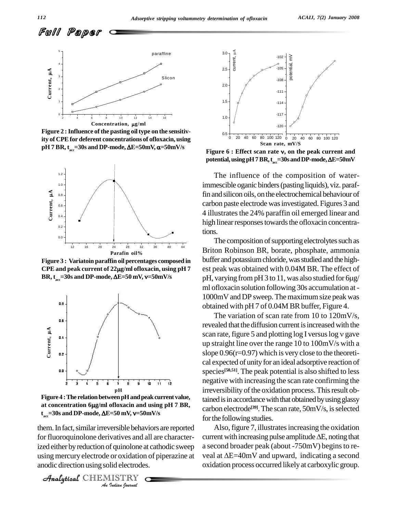

**Figure** 2 : Influence of the pasting oil type on the sensitiv**ity of CPEfor deferent concentrations of ofloxacin, using** Figure 2 : Influence of the pasting oil type on the sensitivity of CPE for deferent concentrations of ofloxacin, using<br>pH 7 BR, t<sub>acc</sub>=30s and DP-mode, ΔE=50mV, α=50mV/s



**Figure 3 : Variatoin paraffin oil percentages composed in** BTILON<br>Figure 3 : Variatoin paraffin oil percentages composed in buffer *t*<br>CPE and peak current of 22µg/ml ofloxacin, using pH 7 est pea BR,  $t_{\text{sec}}$ =30s and DP-mode,  $\Delta E$ =50 mV,  $v$ =50mV/s re 3 : Variatoin paraffin oil percentages composed in<br>and peak current of 22μg/ml ofloxacin, using pH 7<br><sub>acc</sub>=30s and DP-mode, ΔE=50 mV, v=50mV/s



**Figure 4 :The relationbetweenpHandpeakcurrent value, at concentration <sup>6</sup>g/ml ofloxacin and using pH <sup>7</sup> BR,**  $t_{\text{av}}$ =30s and DP-mode,  $\Delta E$ =50 mV, v=50mV/s **acc=30s and DP-mode, E=50 mV, =50mV/s**

them. In fact, similar irreversible behaviors are reported Als *Indian*<br> *Indian*<br> *Indian*<br> *IISTRY*<br> *IISTRY* Analytical fluoroquinolone derivatives and all are characterized either by reduction of quinolone at cathodic sweep anodic direction using solid electrodes.

```
CHEMISTRY COMMENT
```


**Figure <sup>6</sup> : Effect scan rate , on the peak current and Figure 6 : Effect scan rate v, on the peak current and**<br> **potential, using pH7BR, t<sub>acc</sub>=30s and DP-mode, ΔE=50mV** 

The influence of the composition of waterimmescible oganic binders(pasting liquids), viz. paraffin andsilicon oils, on the electrochemical behaviour of carbon paste electrode wasinvestigated. Figures 3 and 4 illustrates the 24% paraffin oil emerged linear and high linear responses towards the ofloxacin concentrations.<br>The composition of supporting electrolytes such as

Briton Robinson BR, borate, phosphate, ammonia buffer and potassium chloride, was studied and the highest peak was obtained with 0.04M BR. The effect of buffer and potassium chloride, was studied and the highest peak was obtained with 0.04M BR. The effect of<br>pH, varying from pH 3 to 11, was also studied for 6µg/ ml ofloxacin solution following 30s accumulation at- 1000mV and DP sweep. The maximum size peak was obtained with pH 7 of 0.04M BR buffer, Figure 4.

The variation of scan rate from 10 to 120mV/s, revealed that the diffusion current is increased with the The variation of scan rate from 10 to  $120 \text{mV/s}$ ,<br>revealed that the diffusion current is increased with the<br>scan rate, figure 5 and plotting log I versus log v gave up straight line over the range 10 to 100mV/s with a slope  $0.96(r=0.97)$  which is very close to the theoretical expected of unity for an ideal adsorptive reaction of species **[50,51]**. The peak potential is also shifted to less negative with increasing the scan rate confirming the irreversibility of the oxidation process. This result obtained is in accordance with that obtained by using glassy carbon electrode<sup>[39]</sup>. The scan rate, 50mV/s, is selected for the following studies.

using mercury electrode or oxidation of piperazine at veal at  $\Delta E = 40$  mV and upward, indicating a second Also, figure 7, illustrates increasing the oxidation current with increasing pulse amplitude  $\Delta E$ , noting that a second broader peak (about -750mV) beginsto re current with increasing pulse amplitude  $\Delta E$ , noting that<br>a second broader peak (about -750mV) begins to re-<br>veal at  $\Delta E=40\text{mV}$  and upward, indicating a second oxidation process occurred likelyat carboxylic group.

Full Paper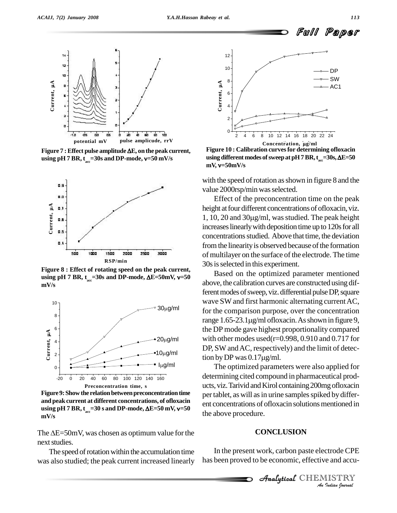Full Paper



using pH  $7$  BR,  $t_{\text{acc}}$ =30s and DP-mode,  $v$ =50 mV/s **a** and mV and by pulse amplicude, rr v<br>**pulse amplitude ΔE, on the peak current,<br><sub>acc</sub>=30s and DP-mode, v=50 mV/s** 



**Figure 8 : Effect of rotating speed on the peak current, ush**<br>**Pigure 8 : Effect of rotating speed on the peak current,<br>
<b>using pH** 7 BR,  $t_{\text{acc}}$ =30s and DP-mode,  $\Delta E$ =50mV,  $v$ =50 **mV/s**



**Figure 9:Show the relationbetweenpreconcentrationtime and peakcurrent at different concentrations, of ofloxacin e Figure 9:** Show the relation between preconcentration time<br>
and peak current at different concentrations, of ofloxacin<br>
using pH 7 BR,  $t_{\text{acc}}$ =30 s and DP-mode,  $\Delta E$ =50 mV, v=50 **mV/s**

The  $\Delta E = 50$ mV, was chosen as optimum value for the next studies.

The speed of rotation within the accumulation time was also studied; the peak current increased linearly



**Figure 10 : Calibration curvesfor determining ofloxacin using different modes ofsweepat pH7BR,t a**cc=30s, **AE=50 Figure 10 : Cal<br>using different** 1<br>mV, v=50mV/s

with the speed of rotation as shown in figure 8 and the value 2000rsp/min was selected.

Effect of the preconcentration time on the peak height at four different concentrations of ofloxacin, viz. 1, 10, 20 and  $30\mu g/ml$ , was studied. The peak height increases linearly with deposition time up to 120s for all concentrations studied. Above that time, the deviation from the linearity is observed because of the formation of multilayer on the surface of the electrode. The time 30sisselected in this experiment.

Based on the optimized parameter mentioned above, the calibration curves are constructed using different modes of sweep, viz. differential pulse DP, square wave SW and first harmonic alternating current AC, for the comparison purpose, over the concentration range 1.65-23.1µg/ml ofloxacin. As shown in figure 9, the DP mode gave highest proportionality compared with other modes used( $r=0.998$ , 0.910 and 0.717 for DP, SW and AC, respectively) and the limit of detecwith other modes used(r=0.998<br>DP, SW and AC, respectively) a<br>tion by DP was 0.17 $\mu$ g/ml.

The optimized parameters were also applied for determining cited compound in pharmaceutical prod ucts, viz. Tarivid and Kirol containing 200mg ofloxacin per tablet, as will as in urine samples spiked by different concentrations of ofloxacin solutions mentioned in the above procedure.

# Analytical**CONCLUSION**

*Indian*<br>**IISTRY**<br>*Indian gournal* In the present work, carbon paste electrode CPE has been proved to be economic, effective and accu-

**Analytical** CHEMISTRY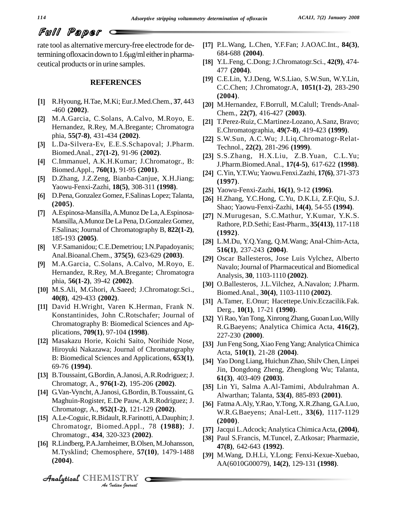**[17]**

# Full Paper

rate tool as alternative mercury-free electrode for de- $\vec{r}$  and  $\vec{r}$  and  $\vec{r}$  are  $\vec{r}$  and  $\vec{r}$  are  $\vec{r}$  are electrode for de-<br>termining of loxacin down to 1.6  $\mu$ g/ml either in pharmaceutical products or in urine samples.

#### **REFERENCES**

- R.Hyoung, H.Tae, M.Ki; Eur.J.Med.Chem., **37**, 443 -460 **(2002)**. **[2]**
- M.A.Garcia, C.Solans, A.Calvo, M.Royo, E. Hernandez, R.Rey, M.A.Bregante; Chromatogra phia, **55(7-8)**, 431-434 **(2002)**. **[3]**
- L.Da-Silvera-Ev, E.E.S.Schapoval; J.Pharm. Biomed.Anal., **27(1-2)**, 91-96 **(2002)**. **[4]**
- C.Immanuel, A.K.H.Kumar; J.Chromatogr., B: Biomed.Appl., **760(1)**, 91-95 **(2001)**. **[5]**
- D.Zhang, J.Z.Zeng, Bianba-Canjue, X.H.Jiang; Yaowu-Fenxi-Zazhi, **18(5)**, 308-311 **(1998)**. **[6]**
- D.Pena, Gonzalez Gomez, F.Salinas Lopez;Talanta, **(2005)**. **[7]**
- A.Espinosa-Mansilla,A.Munoz De La,A.Espinosa- Mansilla, A.Munoz De La Pena, D.Gonzalez Gomez, F.Salinas; Journal of Chromatography B, **822(1-2)**, 185-193 **(2005)**. **[8]**
- V.F.Samanidou; C.E.Demetriou; I.N.Papadoyanis; Anal.Bioanal.Chem., **375(5)**, 623-629 **(2003)**. **[9]**
- M.A.Garcia, C.Solans, A.Calvo, M.Royo, E. Hernandez, R.Rey, M.A.Bregante; Chromatogra phia, **56(1-2)**, 39-42 **(2002)**. **[10]**
- M.S.Ali, M.Ghori, A.Saeed; J.Chromatogr.Sci., **40(8)**, 429-433 **(2002)**.
- [11] David H.Wright, Varen K.Herman, Frank N. Konstantinides, John C.Rotschafer; Journal of Chromatography B: Biomedical Sciences and Ap plications, **709(1)**, 97-104 **(1998)**. **[12]**
- Masakazu Horie, Koichi Saito, Norihide Nose, Hiroyuki Nakazawa; Journal of Chromatography B: Biomedical Sciences and Applications, **653(1)**, 69-76 **(1994)**. **[13]**
- [13] B.Toussaint, G.Bordin, A.Janosi, A.R.Rodriguez; J. Chromatogr, A., **976(1-2)**, 195-206 **(2002)**. **[14]**
- G.Van-Vyncht,A.Janosi, G.Bordin, B.Toussaint, G. Maghuin-Rogister, E.De Pauw, A.R.Rodriguez; J. Chromatogr, A., **952(1-2)**, 121-129 **(2002)**. **[15]**
- **Chromatogr., 434, 320-323 <b>(2002)**. A.Le-Coguic,R.Bidault,R.Farinotti,A.Dauphin;J. Chromatogr, Biomed.Appl., 78 **(1988)**; J.
- *Indian*<br>20-323 (**2002**<br>heimer, B.Ols<br>osphere, 57(<br>IISTRY [16] R.Lindberg, P.A.Jarnheimer, B.Olsen, M.Johansson, M.Tysklind; Chemosphere, **57(10)**, 1479-1488 **(2004)**.
- P.L.Wang, L.Chen, Y.F.Fan; J.AOAC.Int., **84(3)**, 684-688 **(2004)**. **[18]**
- Y.L.Feng, C.Dong; J.Chromatogr.Sci., **42(9)**, 474- 477 **(2004)**. **[19]**
- C.E.Lin, Y.J.Deng, W.S.Liao, S.W.Sun, W.Y.Lin, C.C.Chen; J.Chromatogr.A, **1051(1-2)**, 283-290 **(2004)**. **[20]**
- [20] M.Hernandez, F.Borrull, M.Calull; Trends-Anal-Chem., **22(7)**, 416-427 **(2003)**. **[21]**
- [21] T.Perez-Ruiz, C.Martinez-Lozano, A.Sanz, Bravo; E.Chromatographia, **49(7-8)**, 419-423 **(1999)**. **[22]**
- [22] S.W.Sun, A.C.Wu; J.Liq.Chromatogr-Relat-Technol., **22(2)**, 281-296 **(1999)**. **[23]**
- [23] S.S.Zhang, H.X.Liu, Z.B.Yuan, C.L.Yu; J.Pharm.Biomed.Anal., **17(4-5)**, 617-622 **(1998)**. **[24]**
- C.Yin,Y.T.Wu; Yaowu.Fenxi.Zazhi, **17(6)**, 371-373 **(1997).**
- Yaowu-Fenxi-Zazhi, **16(1)**, 9-12 **(1996)**. **[26]**
- H.Zhang, Y.C.Hong, C.Yu, D.K.Li, Z.F.Qiu, S.J. Shao; Yaowu-Fenxi-Zazhi, **14(4)**, 54-55 **(1994)**. **[27]**
- N.Murugesan, S.C.Mathur, Y.Kumar, Y.K.S. Rathore, P.D.Sethi; East-Pharm., **35(413)**, 117-118 **(1992)**.
- L.M.Du, Y.Q.Yang, Q.M.Wang; Anal-Chim-Acta, **516(1)**, 237-243 **(2004)**.
- [29] Oscar Ballesteros, Jose Luis Vylchez, Alberto Navalo; Journal of Pharmaceutical and Biomedical Analysis, **30**, 1103-1110 **(2002)**. **[30]**
- [30] O.Ballesteros, J.L.Vilchez, A.Navalon; J.Pharm. Biomed.Anal., **30(4)**, 1103-1110 **(2002)**. **[31]**
- A.Tamer, E.Onur; Hacettepe.Univ.Eczacilik.Fak. Derg., **10(1)**, 17-21 **(1990)**. **[32]**
- YiRao,YanTong,XinrongZhang,GuoanLuo,Willy R.G.Baeyens; Analytica Chimica Acta, **416(2)**, 227-230 **(2000)**. **[33]**
- Jun Feng Song, Xiao FengYang;AnalyticaChimica Acta, 510(1), 21-28 (2004).
- Yao DongLiang, Huichun Zhao, ShilvChen, Linpei Jin, Dongdong Zheng, Zhenglong Wu; Talanta, **61(3)**, 403-409 **(2003)**.
- Lin Yi, Salma A.Al-Tamimi, Abdulrahman A. Alwarthan; Talanta, **53(4)**, 885-893 **(2001)**. **[36]**
- FatmaA.Aly,Y.Rao, Y.Tong, X.R.Zhang, G.A.Luo, W.R.G.Baeyens; Anal-Lett., **33(6)**, 1117-1129 **(2000)**. **[37]**
- Jacqui L.Adcock;Analytica ChimicaActa, **(2004)**, **[38]**
- [38] Paul S.Francis, M.Tuncel, Z.Atkosar; Pharmazie, **47(8)**, 642-643 **(1992)**.
- [39] M.Wang, D.H.Li, Y.Long; Fenxi-Kexue-Xuebao, AA(6010G00079), **14(2)**, 129-131 **(1998)**.

CHEMISTRY COMMENT